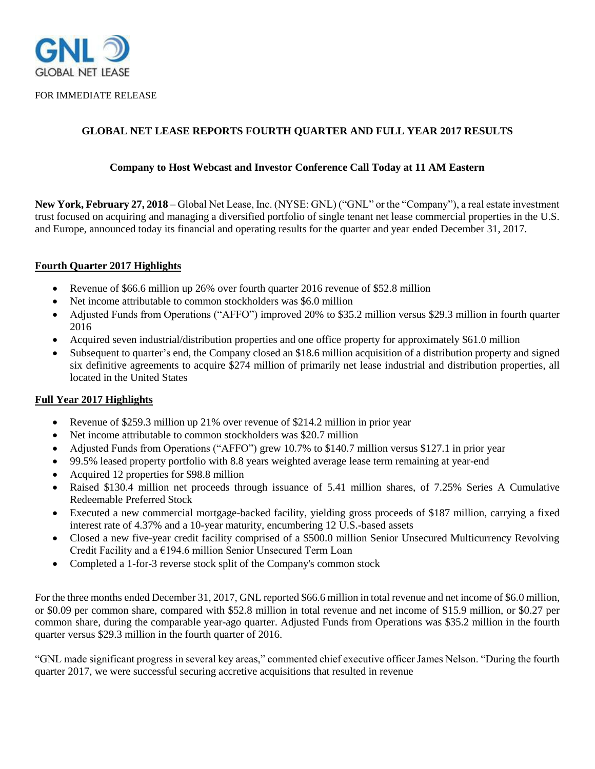

FOR IMMEDIATE RELEASE

# **GLOBAL NET LEASE REPORTS FOURTH QUARTER AND FULL YEAR 2017 RESULTS**

### **Company to Host Webcast and Investor Conference Call Today at 11 AM Eastern**

**New York, February 27, 2018** – Global Net Lease, Inc. (NYSE: GNL) ("GNL" or the "Company"), a real estate investment trust focused on acquiring and managing a diversified portfolio of single tenant net lease commercial properties in the U.S. and Europe, announced today its financial and operating results for the quarter and year ended December 31, 2017.

#### **Fourth Quarter 2017 Highlights**

- Revenue of \$66.6 million up 26% over fourth quarter 2016 revenue of \$52.8 million
- Net income attributable to common stockholders was \$6.0 million
- Adjusted Funds from Operations ("AFFO") improved 20% to \$35.2 million versus \$29.3 million in fourth quarter 2016
- Acquired seven industrial/distribution properties and one office property for approximately \$61.0 million
- Subsequent to quarter's end, the Company closed an \$18.6 million acquisition of a distribution property and signed six definitive agreements to acquire \$274 million of primarily net lease industrial and distribution properties, all located in the United States

### **Full Year 2017 Highlights**

- Revenue of \$259.3 million up 21% over revenue of \$214.2 million in prior year
- Net income attributable to common stockholders was \$20.7 million
- Adjusted Funds from Operations ("AFFO") grew 10.7% to \$140.7 million versus \$127.1 in prior year
- 99.5% leased property portfolio with 8.8 years weighted average lease term remaining at year-end
- Acquired 12 properties for \$98.8 million
- Raised \$130.4 million net proceeds through issuance of 5.41 million shares, of 7.25% Series A Cumulative Redeemable Preferred Stock
- Executed a new commercial mortgage-backed facility, yielding gross proceeds of \$187 million, carrying a fixed interest rate of 4.37% and a 10-year maturity, encumbering 12 U.S.-based assets
- Closed a new five-year credit facility comprised of a \$500.0 million Senior Unsecured Multicurrency Revolving Credit Facility and a €194.6 million Senior Unsecured Term Loan
- Completed a 1-for-3 reverse stock split of the Company's common stock

For the three months ended December 31, 2017, GNL reported \$66.6 million in total revenue and net income of \$6.0 million, or \$0.09 per common share, compared with \$52.8 million in total revenue and net income of \$15.9 million, or \$0.27 per common share, during the comparable year-ago quarter. Adjusted Funds from Operations was \$35.2 million in the fourth quarter versus \$29.3 million in the fourth quarter of 2016.

"GNL made significant progress in several key areas," commented chief executive officer James Nelson. "During the fourth quarter 2017, we were successful securing accretive acquisitions that resulted in revenue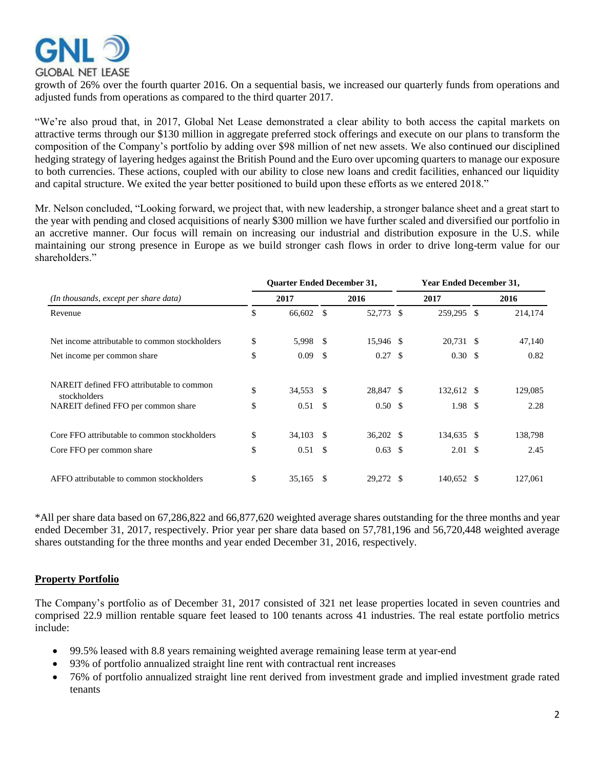

growth of 26% over the fourth quarter 2016. On a sequential basis, we increased our quarterly funds from operations and adjusted funds from operations as compared to the third quarter 2017.

"We're also proud that, in 2017, Global Net Lease demonstrated a clear ability to both access the capital markets on attractive terms through our \$130 million in aggregate preferred stock offerings and execute on our plans to transform the composition of the Company's portfolio by adding over \$98 million of net new assets. We also continued our disciplined hedging strategy of layering hedges against the British Pound and the Euro over upcoming quarters to manage our exposure to both currencies. These actions, coupled with our ability to close new loans and credit facilities, enhanced our liquidity and capital structure. We exited the year better positioned to build upon these efforts as we entered 2018."

Mr. Nelson concluded, "Looking forward, we project that, with new leadership, a stronger balance sheet and a great start to the year with pending and closed acquisitions of nearly \$300 million we have further scaled and diversified our portfolio in an accretive manner. Our focus will remain on increasing our industrial and distribution exposure in the U.S. while maintaining our strong presence in Europe as we build stronger cash flows in order to drive long-term value for our shareholders<sup>"</sup>

|                                                           | <b>Quarter Ended December 31,</b> |               |                    |      | <b>Year Ended December 31,</b> |  |         |  |  |  |
|-----------------------------------------------------------|-----------------------------------|---------------|--------------------|------|--------------------------------|--|---------|--|--|--|
| (In thousands, except per share data)                     | 2017                              |               | 2016               | 2017 |                                |  | 2016    |  |  |  |
| Revenue                                                   | \$<br>66,602                      | <sup>\$</sup> | 52,773 \$          |      | 259,295 \$                     |  | 214,174 |  |  |  |
| Net income attributable to common stockholders            | \$<br>5,998                       | - \$          | 15,946 \$          |      | 20,731 \$                      |  | 47,140  |  |  |  |
| Net income per common share                               | \$<br>0.09                        | - \$          | $0.27 \text{ }$ \$ |      | $0.30 \text{ }$ \$             |  | 0.82    |  |  |  |
| NAREIT defined FFO attributable to common<br>stockholders | \$<br>34,553                      | - \$          | 28,847 \$          |      | 132,612 \$                     |  | 129,085 |  |  |  |
| NAREIT defined FFO per common share                       | \$<br>$0.51 \quad$ \$             |               | 0.50 <sup>5</sup>  |      | 1.98 <sup>°</sup>              |  | 2.28    |  |  |  |
| Core FFO attributable to common stockholders              | \$<br>34,103 \$                   |               | $36,202$ \$        |      | 134,635 \$                     |  | 138,798 |  |  |  |
| Core FFO per common share                                 | \$<br>0.51                        | - \$          | $0.63 \text{ }$ \$ |      | $2.01 \text{ }$ \$             |  | 2.45    |  |  |  |
| AFFO attributable to common stockholders                  | \$<br>35,165                      | -S            | 29,272 \$          |      | 140,652 \$                     |  | 127,061 |  |  |  |

\*All per share data based on 67,286,822 and 66,877,620 weighted average shares outstanding for the three months and year ended December 31, 2017, respectively. Prior year per share data based on 57,781,196 and 56,720,448 weighted average shares outstanding for the three months and year ended December 31, 2016, respectively.

## **Property Portfolio**

The Company's portfolio as of December 31, 2017 consisted of 321 net lease properties located in seven countries and comprised 22.9 million rentable square feet leased to 100 tenants across 41 industries. The real estate portfolio metrics include:

- 99.5% leased with 8.8 years remaining weighted average remaining lease term at year-end
- 93% of portfolio annualized straight line rent with contractual rent increases
- 76% of portfolio annualized straight line rent derived from investment grade and implied investment grade rated tenants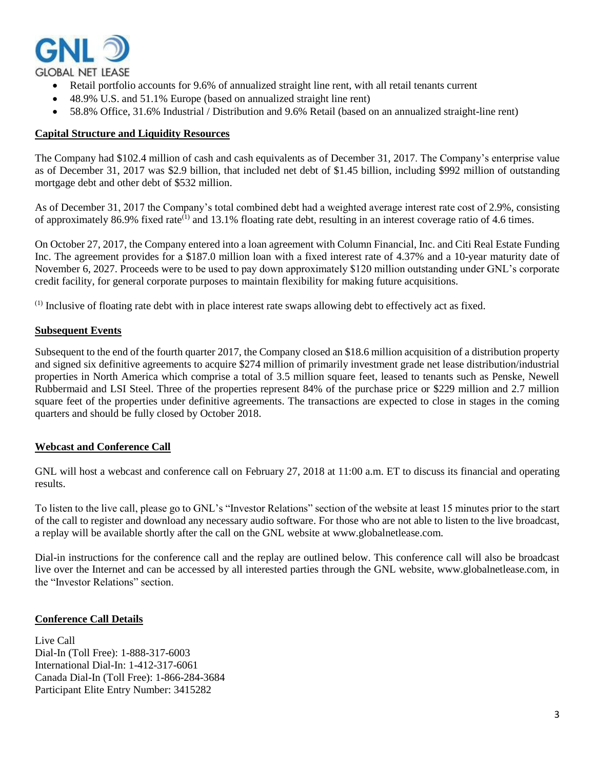

- Retail portfolio accounts for 9.6% of annualized straight line rent, with all retail tenants current
- 48.9% U.S. and 51.1% Europe (based on annualized straight line rent)
- 58.8% Office, 31.6% Industrial / Distribution and 9.6% Retail (based on an annualized straight-line rent)

#### **Capital Structure and Liquidity Resources**

The Company had \$102.4 million of cash and cash equivalents as of December 31, 2017. The Company's enterprise value as of December 31, 2017 was \$2.9 billion, that included net debt of \$1.45 billion, including \$992 million of outstanding mortgage debt and other debt of \$532 million.

As of December 31, 2017 the Company's total combined debt had a weighted average interest rate cost of 2.9%, consisting of approximately 86.9% fixed rate<sup> $(1)$ </sup> and 13.1% floating rate debt, resulting in an interest coverage ratio of 4.6 times.

On October 27, 2017, the Company entered into a loan agreement with Column Financial, Inc. and Citi Real Estate Funding Inc. The agreement provides for a \$187.0 million loan with a fixed interest rate of 4.37% and a 10-year maturity date of November 6, 2027. Proceeds were to be used to pay down approximately \$120 million outstanding under GNL's corporate credit facility, for general corporate purposes to maintain flexibility for making future acquisitions.

(1) Inclusive of floating rate debt with in place interest rate swaps allowing debt to effectively act as fixed.

#### **Subsequent Events**

Subsequent to the end of the fourth quarter 2017, the Company closed an \$18.6 million acquisition of a distribution property and signed six definitive agreements to acquire \$274 million of primarily investment grade net lease distribution/industrial properties in North America which comprise a total of 3.5 million square feet, leased to tenants such as Penske, Newell Rubbermaid and LSI Steel. Three of the properties represent 84% of the purchase price or \$229 million and 2.7 million square feet of the properties under definitive agreements. The transactions are expected to close in stages in the coming quarters and should be fully closed by October 2018.

### **Webcast and Conference Call**

GNL will host a webcast and conference call on February 27, 2018 at 11:00 a.m. ET to discuss its financial and operating results.

To listen to the live call, please go to GNL's "Investor Relations" section of the website at least 15 minutes prior to the start of the call to register and download any necessary audio software. For those who are not able to listen to the live broadcast, a replay will be available shortly after the call on the GNL website at www.globalnetlease.com.

Dial-in instructions for the conference call and the replay are outlined below. This conference call will also be broadcast live over the Internet and can be accessed by all interested parties through the GNL website, www.globalnetlease.com, in the "Investor Relations" section.

### **Conference Call Details**

Live Call Dial-In (Toll Free): 1-888-317-6003 International Dial-In: 1-412-317-6061 Canada Dial-In (Toll Free): 1-866-284-3684 Participant Elite Entry Number: 3415282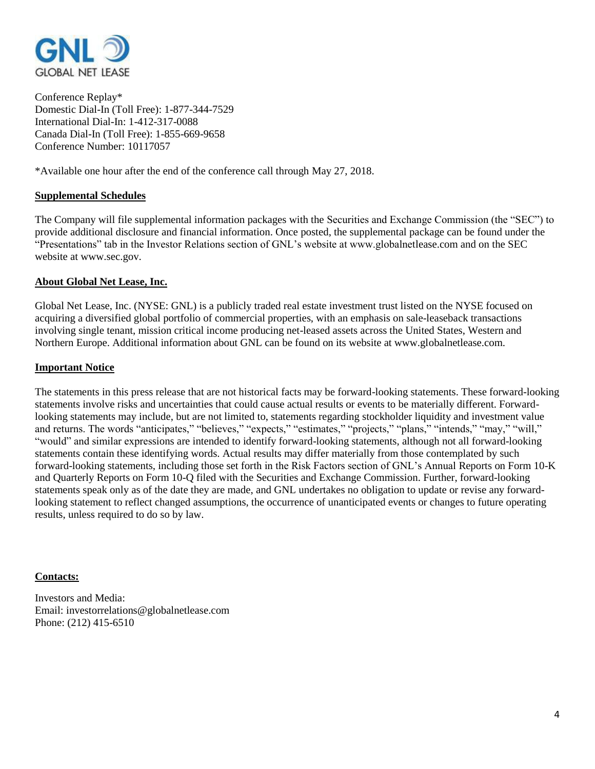

Conference Replay\* Domestic Dial-In (Toll Free): 1-877-344-7529 International Dial-In: 1-412-317-0088 Canada Dial-In (Toll Free): 1-855-669-9658 Conference Number: 10117057

\*Available one hour after the end of the conference call through May 27, 2018.

### **Supplemental Schedules**

The Company will file supplemental information packages with the Securities and Exchange Commission (the "SEC") to provide additional disclosure and financial information. Once posted, the supplemental package can be found under the "Presentations" tab in the Investor Relations section of GNL's website at www.globalnetlease.com and on the SEC website at www.sec.gov.

### **About Global Net Lease, Inc.**

Global Net Lease, Inc. (NYSE: GNL) is a publicly traded real estate investment trust listed on the NYSE focused on acquiring a diversified global portfolio of commercial properties, with an emphasis on sale-leaseback transactions involving single tenant, mission critical income producing net-leased assets across the United States, Western and Northern Europe. Additional information about GNL can be found on its website at www.globalnetlease.com.

### **Important Notice**

The statements in this press release that are not historical facts may be forward-looking statements. These forward-looking statements involve risks and uncertainties that could cause actual results or events to be materially different. Forwardlooking statements may include, but are not limited to, statements regarding stockholder liquidity and investment value and returns. The words "anticipates," "believes," "expects," "estimates," "projects," "plans," "intends," "may," "will," "would" and similar expressions are intended to identify forward-looking statements, although not all forward-looking statements contain these identifying words. Actual results may differ materially from those contemplated by such forward-looking statements, including those set forth in the Risk Factors section of GNL's Annual Reports on Form 10-K and Quarterly Reports on Form 10-Q filed with the Securities and Exchange Commission. Further, forward-looking statements speak only as of the date they are made, and GNL undertakes no obligation to update or revise any forwardlooking statement to reflect changed assumptions, the occurrence of unanticipated events or changes to future operating results, unless required to do so by law.

### **Contacts:**

Investors and Media: Email: investorrelations@globalnetlease.com Phone: (212) 415-6510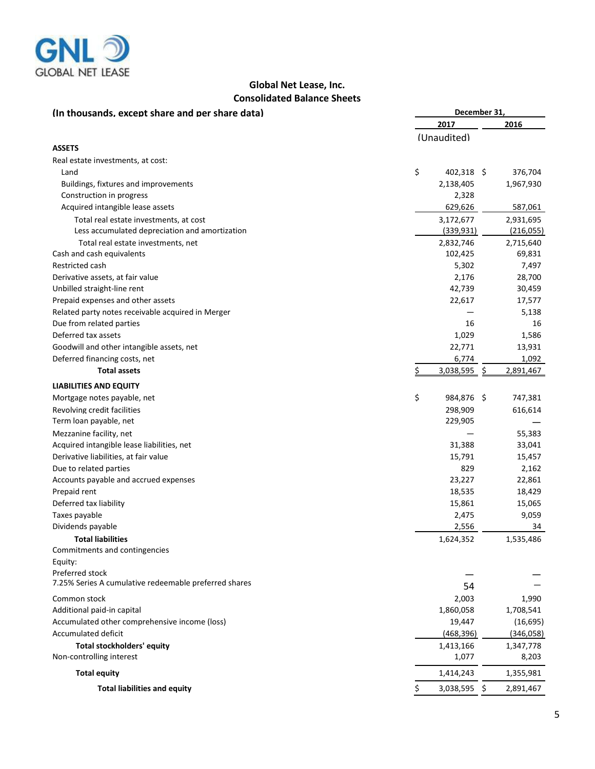

# **Global Net Lease, Inc. Consolidated Balance Sheets**

| (In thousands, except share and per share data)       | December 31, |                |    |            |  |  |  |
|-------------------------------------------------------|--------------|----------------|----|------------|--|--|--|
|                                                       |              | 2017           |    | 2016       |  |  |  |
|                                                       |              | (Unaudited)    |    |            |  |  |  |
| <b>ASSETS</b>                                         |              |                |    |            |  |  |  |
| Real estate investments, at cost:                     |              |                |    |            |  |  |  |
| Land                                                  | \$           | 402,318 \$     |    | 376,704    |  |  |  |
| Buildings, fixtures and improvements                  |              | 2,138,405      |    | 1,967,930  |  |  |  |
| Construction in progress                              |              | 2,328          |    |            |  |  |  |
| Acquired intangible lease assets                      |              | 629,626        |    | 587,061    |  |  |  |
| Total real estate investments, at cost                |              | 3,172,677      |    | 2,931,695  |  |  |  |
| Less accumulated depreciation and amortization        |              | (339, 931)     |    | (216, 055) |  |  |  |
| Total real estate investments, net                    |              | 2,832,746      |    | 2,715,640  |  |  |  |
| Cash and cash equivalents                             |              | 102,425        |    | 69,831     |  |  |  |
| Restricted cash                                       |              | 5,302          |    | 7,497      |  |  |  |
| Derivative assets, at fair value                      |              | 2,176          |    | 28,700     |  |  |  |
| Unbilled straight-line rent                           |              | 42,739         |    | 30,459     |  |  |  |
| Prepaid expenses and other assets                     |              | 22,617         |    | 17,577     |  |  |  |
| Related party notes receivable acquired in Merger     |              |                |    | 5,138      |  |  |  |
| Due from related parties                              |              | 16             |    | 16         |  |  |  |
| Deferred tax assets                                   |              | 1,029          |    | 1,586      |  |  |  |
| Goodwill and other intangible assets, net             |              | 22,771         |    | 13,931     |  |  |  |
| Deferred financing costs, net                         |              | 6,774          |    | 1,092      |  |  |  |
| <b>Total assets</b>                                   |              | 3,038,595      | S. | 2,891,467  |  |  |  |
| <b>LIABILITIES AND EQUITY</b>                         |              |                |    |            |  |  |  |
| Mortgage notes payable, net                           | \$           | 984,876 \$     |    | 747,381    |  |  |  |
| Revolving credit facilities                           |              | 298,909        |    | 616,614    |  |  |  |
| Term loan payable, net                                |              | 229,905        |    |            |  |  |  |
| Mezzanine facility, net                               |              |                |    | 55,383     |  |  |  |
| Acquired intangible lease liabilities, net            |              | 31,388         |    | 33,041     |  |  |  |
| Derivative liabilities, at fair value                 |              | 15,791         |    | 15,457     |  |  |  |
| Due to related parties                                |              | 829            |    | 2,162      |  |  |  |
| Accounts payable and accrued expenses                 |              | 23,227         |    | 22,861     |  |  |  |
| Prepaid rent                                          |              | 18,535         |    | 18,429     |  |  |  |
| Deferred tax liability                                |              | 15,861         |    | 15,065     |  |  |  |
| Taxes payable                                         |              | 2,475          |    | 9,059      |  |  |  |
| Dividends payable                                     |              | 2,556          |    | 34         |  |  |  |
| <b>Total liabilities</b>                              |              | 1,624,352      |    | 1,535,486  |  |  |  |
| Commitments and contingencies                         |              |                |    |            |  |  |  |
| Equity:                                               |              |                |    |            |  |  |  |
| Preferred stock                                       |              |                |    |            |  |  |  |
| 7.25% Series A cumulative redeemable preferred shares |              | 54             |    |            |  |  |  |
| Common stock                                          |              | 2,003          |    | 1,990      |  |  |  |
| Additional paid-in capital                            |              | 1,860,058      |    | 1,708,541  |  |  |  |
| Accumulated other comprehensive income (loss)         |              | 19,447         |    | (16, 695)  |  |  |  |
| Accumulated deficit                                   |              | (468, 396)     |    | (346, 058) |  |  |  |
| <b>Total stockholders' equity</b>                     |              | 1,413,166      |    | 1,347,778  |  |  |  |
| Non-controlling interest                              |              | 1,077          |    | 8,203      |  |  |  |
| <b>Total equity</b>                                   |              | 1,414,243      |    | 1,355,981  |  |  |  |
| <b>Total liabilities and equity</b>                   | \$           | $3,038,595$ \$ |    | 2,891,467  |  |  |  |
|                                                       |              |                |    |            |  |  |  |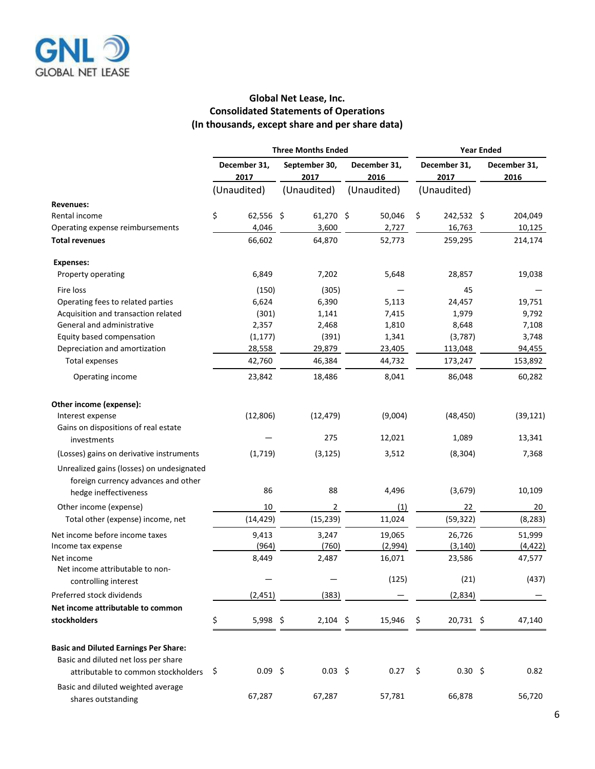

# **Global Net Lease, Inc. Consolidated Statements of Operations (In thousands, except share and per share data)**

|                                                                                  | <b>Three Months Ended</b> |                      |                       |             |  | <b>Year Ended</b>    |                      |                  |  |                      |  |
|----------------------------------------------------------------------------------|---------------------------|----------------------|-----------------------|-------------|--|----------------------|----------------------|------------------|--|----------------------|--|
|                                                                                  |                           | December 31,<br>2017 | September 30,<br>2017 |             |  | December 31,<br>2016 | December 31,<br>2017 |                  |  | December 31,<br>2016 |  |
|                                                                                  |                           | (Unaudited)          | (Unaudited)           |             |  | (Unaudited)          | (Unaudited)          |                  |  |                      |  |
| <b>Revenues:</b>                                                                 |                           |                      |                       |             |  |                      |                      |                  |  |                      |  |
| Rental income                                                                    | \$                        | 62,556 \$            |                       | $61,270$ \$ |  | 50,046               | \$                   | 242,532 \$       |  | 204,049              |  |
| Operating expense reimbursements                                                 |                           | 4,046                |                       | 3,600       |  | 2,727                |                      | 16,763           |  | 10,125               |  |
| <b>Total revenues</b>                                                            |                           | 66,602               |                       | 64,870      |  | 52,773               |                      | 259,295          |  | 214,174              |  |
| <b>Expenses:</b>                                                                 |                           |                      |                       |             |  |                      |                      |                  |  |                      |  |
| Property operating                                                               |                           | 6,849                |                       | 7,202       |  | 5,648                |                      | 28,857           |  | 19,038               |  |
| Fire loss                                                                        |                           | (150)                |                       | (305)       |  |                      |                      | 45               |  |                      |  |
| Operating fees to related parties                                                |                           | 6,624                |                       | 6,390       |  | 5,113                |                      | 24,457           |  | 19,751               |  |
| Acquisition and transaction related                                              |                           | (301)                |                       | 1,141       |  | 7,415                |                      | 1,979            |  | 9,792                |  |
| General and administrative                                                       |                           | 2,357                |                       | 2,468       |  | 1,810                |                      | 8,648            |  | 7,108                |  |
| Equity based compensation                                                        |                           | (1, 177)             |                       | (391)       |  | 1,341                |                      | (3,787)          |  | 3,748                |  |
| Depreciation and amortization                                                    |                           | 28,558               |                       | 29,879      |  | 23,405               |                      | 113,048          |  | 94,455               |  |
| Total expenses                                                                   |                           | 42,760               |                       | 46,384      |  | 44,732               |                      | 173,247          |  | 153,892              |  |
| Operating income                                                                 |                           | 23,842               |                       | 18,486      |  | 8,041                |                      | 86,048           |  | 60,282               |  |
| Other income (expense):                                                          |                           |                      |                       |             |  |                      |                      |                  |  |                      |  |
| Interest expense                                                                 |                           | (12, 806)            |                       | (12, 479)   |  | (9,004)              |                      | (48, 450)        |  | (39, 121)            |  |
| Gains on dispositions of real estate                                             |                           |                      |                       |             |  |                      |                      |                  |  |                      |  |
| investments                                                                      |                           |                      |                       | 275         |  | 12,021               |                      | 1,089            |  | 13,341               |  |
| (Losses) gains on derivative instruments                                         |                           | (1,719)              |                       | (3, 125)    |  | 3,512                |                      | (8, 304)         |  | 7,368                |  |
| Unrealized gains (losses) on undesignated<br>foreign currency advances and other |                           |                      |                       |             |  |                      |                      |                  |  |                      |  |
| hedge ineffectiveness                                                            |                           | 86                   |                       | 88          |  | 4,496                |                      | (3,679)          |  | 10,109               |  |
| Other income (expense)                                                           |                           | 10                   |                       | 2           |  | (1)                  |                      | 22               |  | 20                   |  |
| Total other (expense) income, net                                                |                           | (14, 429)            |                       | (15, 239)   |  | 11,024               |                      | (59, 322)        |  | (8, 283)             |  |
| Net income before income taxes                                                   |                           | 9,413                |                       | 3,247       |  | 19,065               |                      | 26,726           |  | 51,999               |  |
| Income tax expense                                                               |                           | (964)                |                       | (760)       |  | (2,994)              |                      | (3, 140)         |  | (4, 422)             |  |
| Net income<br>Net income attributable to non-                                    |                           | 8,449                |                       | 2,487       |  | 16,071               |                      | 23,586           |  | 47,577               |  |
| controlling interest                                                             |                           |                      |                       |             |  | (125)                |                      | (21)             |  | (437)                |  |
| Preferred stock dividends                                                        |                           | (2, 451)             |                       | (383)       |  |                      |                      | (2,834)          |  |                      |  |
| Net income attributable to common                                                |                           |                      |                       |             |  |                      |                      |                  |  |                      |  |
| stockholders                                                                     | \$                        | 5,998 \$             |                       | $2,104$ \$  |  | 15,946               | \$                   | 20,731 \$        |  | 47,140               |  |
| <b>Basic and Diluted Earnings Per Share:</b>                                     |                           |                      |                       |             |  |                      |                      |                  |  |                      |  |
| Basic and diluted net loss per share                                             |                           |                      |                       |             |  |                      |                      |                  |  |                      |  |
| attributable to common stockholders                                              | -\$                       | $0.09$ \$            |                       | $0.03$ \$   |  | 0.27                 | \$                   | $0.30 \; \simeq$ |  | 0.82                 |  |
| Basic and diluted weighted average<br>shares outstanding                         |                           | 67,287               |                       | 67,287      |  | 57,781               |                      | 66,878           |  | 56,720               |  |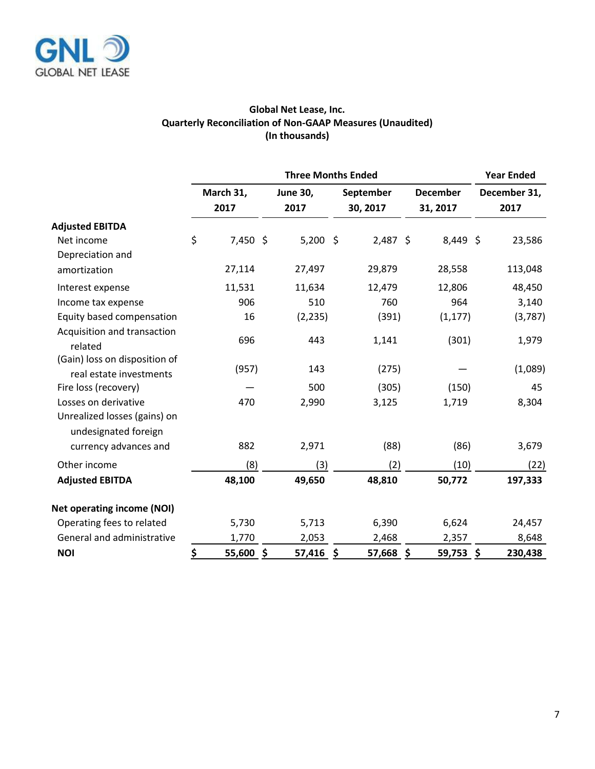

# **Global Net Lease, Inc. Quarterly Reconciliation of Non-GAAP Measures (Unaudited) (In thousands)**

|                                                          |           | <b>Three Months Ended</b> |                         |                       |                             |                      |  |  |  |  |  |
|----------------------------------------------------------|-----------|---------------------------|-------------------------|-----------------------|-----------------------------|----------------------|--|--|--|--|--|
|                                                          |           | March 31,<br>2017         | <b>June 30,</b><br>2017 | September<br>30, 2017 | <b>December</b><br>31, 2017 | December 31,<br>2017 |  |  |  |  |  |
| <b>Adjusted EBITDA</b>                                   |           |                           |                         |                       |                             |                      |  |  |  |  |  |
| Net income                                               | \$        | $7,450$ \$                | $5,200$ \$              | $2,487$ \$            | 8,449 \$                    | 23,586               |  |  |  |  |  |
| Depreciation and                                         |           |                           |                         |                       |                             |                      |  |  |  |  |  |
| amortization                                             |           | 27,114                    | 27,497                  | 29,879                | 28,558                      | 113,048              |  |  |  |  |  |
| Interest expense                                         |           | 11,531                    | 11,634                  | 12,479                | 12,806                      | 48,450               |  |  |  |  |  |
| Income tax expense                                       |           | 906                       | 510                     | 760                   | 964                         | 3,140                |  |  |  |  |  |
| Equity based compensation                                |           | 16                        | (2, 235)                | (391)                 | (1, 177)                    | (3,787)              |  |  |  |  |  |
| Acquisition and transaction<br>related                   |           | 696                       | 443                     | 1,141                 | (301)                       | 1,979                |  |  |  |  |  |
| (Gain) loss on disposition of<br>real estate investments |           | (957)                     | 143                     | (275)                 |                             | (1,089)              |  |  |  |  |  |
| Fire loss (recovery)                                     |           |                           | 500                     | (305)                 | (150)                       | 45                   |  |  |  |  |  |
| Losses on derivative                                     |           | 470                       | 2,990                   | 3,125                 | 1,719                       | 8,304                |  |  |  |  |  |
| Unrealized losses (gains) on<br>undesignated foreign     |           |                           |                         |                       |                             |                      |  |  |  |  |  |
| currency advances and                                    |           | 882                       | 2,971                   | (88)                  | (86)                        | 3,679                |  |  |  |  |  |
| Other income                                             |           | (8)                       | (3)                     | (2)                   | (10)                        | (22)                 |  |  |  |  |  |
| <b>Adjusted EBITDA</b>                                   |           | 48,100                    | 49,650                  | 48,810                | 50,772                      | 197,333              |  |  |  |  |  |
| <b>Net operating income (NOI)</b>                        |           |                           |                         |                       |                             |                      |  |  |  |  |  |
| Operating fees to related                                |           | 5,730                     | 5,713                   | 6,390                 | 6,624                       | 24,457               |  |  |  |  |  |
| General and administrative                               |           | 1,770                     | 2,053                   | 2,468                 | 2,357                       | 8,648                |  |  |  |  |  |
| <b>NOI</b>                                               | <u>\$</u> | $55,600$ \$               | 57,416                  | 57,668 \$<br>\$       | $59,753$ \$                 | 230,438              |  |  |  |  |  |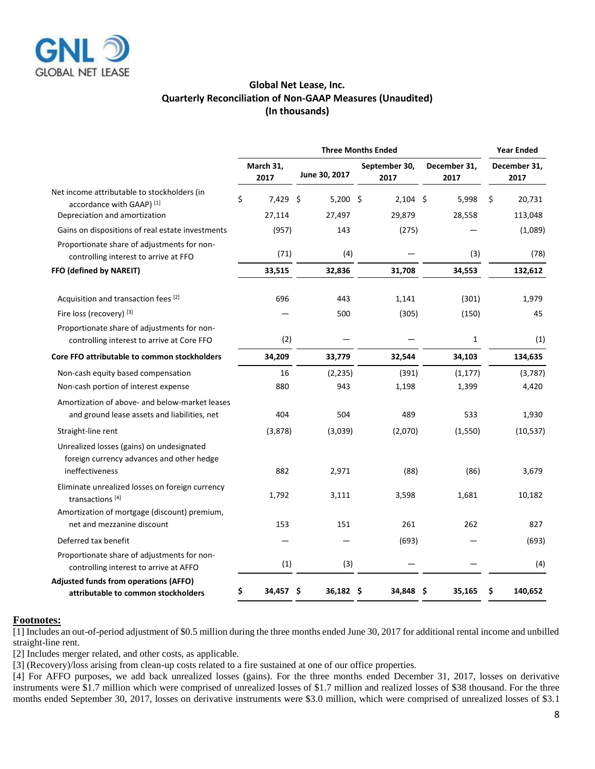

### **Global Net Lease, Inc. Quarterly Reconciliation of Non-GAAP Measures (Unaudited) (In thousands)**

|                                                                                                           | <b>Three Months Ended</b> |                   |               |     |                       |            |                      | <b>Year Ended</b> |                      |           |
|-----------------------------------------------------------------------------------------------------------|---------------------------|-------------------|---------------|-----|-----------------------|------------|----------------------|-------------------|----------------------|-----------|
|                                                                                                           |                           | March 31,<br>2017 | June 30, 2017 |     | September 30,<br>2017 |            | December 31,<br>2017 |                   | December 31,<br>2017 |           |
| Net income attributable to stockholders (in<br>accordance with GAAP) [1]                                  | \$                        | $7.429$ \$        | $5,200$ \$    |     |                       | $2,104$ \$ |                      | 5,998             | Ś                    | 20,731    |
| Depreciation and amortization                                                                             |                           | 27,114            | 27,497        |     |                       | 29,879     |                      | 28,558            |                      | 113,048   |
| Gains on dispositions of real estate investments                                                          |                           | (957)             | 143           |     |                       | (275)      |                      |                   |                      | (1,089)   |
| Proportionate share of adjustments for non-<br>controlling interest to arrive at FFO                      |                           | (71)              |               | (4) |                       |            |                      | (3)               |                      | (78)      |
| FFO (defined by NAREIT)                                                                                   |                           | 33,515            | 32,836        |     |                       | 31,708     |                      | 34,553            |                      | 132,612   |
| Acquisition and transaction fees [2]                                                                      |                           | 696               |               | 443 |                       | 1,141      |                      | (301)             |                      | 1,979     |
| Fire loss (recovery) [3]                                                                                  |                           |                   |               | 500 |                       | (305)      |                      | (150)             |                      | 45        |
| Proportionate share of adjustments for non-<br>controlling interest to arrive at Core FFO                 |                           | (2)               |               |     |                       |            |                      | 1                 |                      | (1)       |
| Core FFO attributable to common stockholders                                                              |                           | 34,209            | 33,779        |     |                       | 32,544     |                      | 34,103            |                      | 134,635   |
| Non-cash equity based compensation                                                                        |                           | 16                | (2, 235)      |     |                       | (391)      |                      | (1, 177)          |                      | (3,787)   |
| Non-cash portion of interest expense                                                                      |                           | 880               |               | 943 |                       | 1,198      |                      | 1,399             |                      | 4,420     |
| Amortization of above- and below-market leases<br>and ground lease assets and liabilities, net            |                           | 404               |               | 504 |                       | 489        |                      | 533               |                      | 1,930     |
| Straight-line rent                                                                                        |                           | (3,878)           | (3,039)       |     |                       | (2,070)    |                      | (1,550)           |                      | (10, 537) |
| Unrealized losses (gains) on undesignated<br>foreign currency advances and other hedge<br>ineffectiveness |                           | 882               | 2,971         |     |                       | (88)       |                      | (86)              |                      | 3,679     |
| Eliminate unrealized losses on foreign currency<br>transactions <sup>[4]</sup>                            |                           | 1,792             | 3,111         |     |                       | 3,598      |                      | 1,681             |                      | 10,182    |
| Amortization of mortgage (discount) premium,<br>net and mezzanine discount                                |                           | 153               |               | 151 |                       | 261        |                      | 262               |                      | 827       |
| Deferred tax benefit                                                                                      |                           |                   |               |     |                       | (693)      |                      |                   |                      | (693)     |
| Proportionate share of adjustments for non-<br>controlling interest to arrive at AFFO                     |                           | (1)               |               | (3) |                       |            |                      |                   |                      | (4)       |
| Adjusted funds from operations (AFFO)<br>attributable to common stockholders                              | \$                        | 34,457\$          | 36,182 \$     |     |                       | 34,848 \$  |                      | 35,165            | \$                   | 140,652   |
|                                                                                                           |                           |                   |               |     |                       |            |                      |                   |                      |           |

### **Footnotes:**

[1] Includes an out-of-period adjustment of \$0.5 million during the three months ended June 30, 2017 for additional rental income and unbilled straight-line rent.

[2] Includes merger related, and other costs, as applicable.

[3] (Recovery)/loss arising from clean-up costs related to a fire sustained at one of our office properties.

[4] For AFFO purposes, we add back unrealized losses (gains). For the three months ended December 31, 2017, losses on derivative instruments were \$1.7 million which were comprised of unrealized losses of \$1.7 million and realized losses of \$38 thousand. For the three months ended September 30, 2017, losses on derivative instruments were \$3.0 million, which were comprised of unrealized losses of \$3.1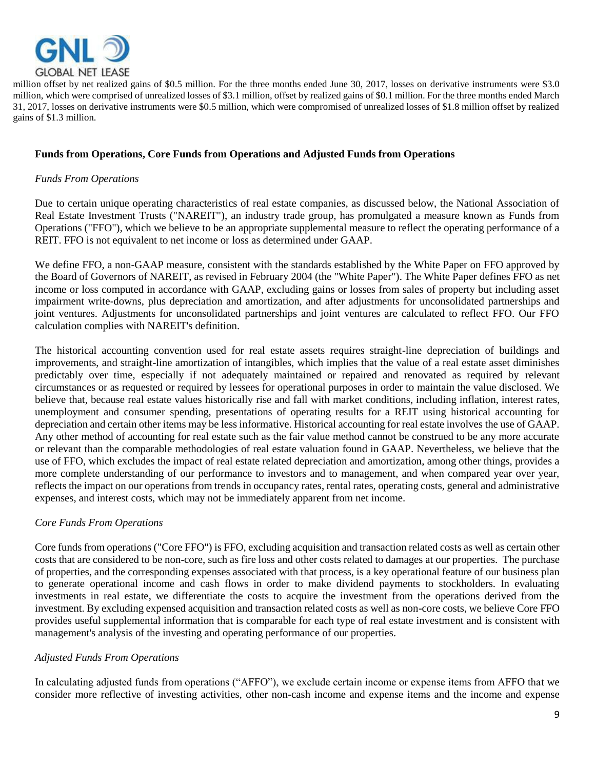

million offset by net realized gains of \$0.5 million. For the three months ended June 30, 2017, losses on derivative instruments were \$3.0 million, which were comprised of unrealized losses of \$3.1 million, offset by realized gains of \$0.1 million. For the three months ended March 31, 2017, losses on derivative instruments were \$0.5 million, which were compromised of unrealized losses of \$1.8 million offset by realized gains of \$1.3 million.

### **Funds from Operations, Core Funds from Operations and Adjusted Funds from Operations**

### *Funds From Operations*

Due to certain unique operating characteristics of real estate companies, as discussed below, the National Association of Real Estate Investment Trusts ("NAREIT"), an industry trade group, has promulgated a measure known as Funds from Operations ("FFO"), which we believe to be an appropriate supplemental measure to reflect the operating performance of a REIT. FFO is not equivalent to net income or loss as determined under GAAP.

We define FFO, a non-GAAP measure, consistent with the standards established by the White Paper on FFO approved by the Board of Governors of NAREIT, as revised in February 2004 (the "White Paper"). The White Paper defines FFO as net income or loss computed in accordance with GAAP, excluding gains or losses from sales of property but including asset impairment write-downs, plus depreciation and amortization, and after adjustments for unconsolidated partnerships and joint ventures. Adjustments for unconsolidated partnerships and joint ventures are calculated to reflect FFO. Our FFO calculation complies with NAREIT's definition.

The historical accounting convention used for real estate assets requires straight-line depreciation of buildings and improvements, and straight-line amortization of intangibles, which implies that the value of a real estate asset diminishes predictably over time, especially if not adequately maintained or repaired and renovated as required by relevant circumstances or as requested or required by lessees for operational purposes in order to maintain the value disclosed. We believe that, because real estate values historically rise and fall with market conditions, including inflation, interest rates, unemployment and consumer spending, presentations of operating results for a REIT using historical accounting for depreciation and certain other items may be less informative. Historical accounting for real estate involves the use of GAAP. Any other method of accounting for real estate such as the fair value method cannot be construed to be any more accurate or relevant than the comparable methodologies of real estate valuation found in GAAP. Nevertheless, we believe that the use of FFO, which excludes the impact of real estate related depreciation and amortization, among other things, provides a more complete understanding of our performance to investors and to management, and when compared year over year, reflects the impact on our operations from trends in occupancy rates, rental rates, operating costs, general and administrative expenses, and interest costs, which may not be immediately apparent from net income.

### *Core Funds From Operations*

Core funds from operations ("Core FFO") is FFO, excluding acquisition and transaction related costs as well as certain other costs that are considered to be non-core, such as fire loss and other costs related to damages at our properties. The purchase of properties, and the corresponding expenses associated with that process, is a key operational feature of our business plan to generate operational income and cash flows in order to make dividend payments to stockholders. In evaluating investments in real estate, we differentiate the costs to acquire the investment from the operations derived from the investment. By excluding expensed acquisition and transaction related costs as well as non-core costs, we believe Core FFO provides useful supplemental information that is comparable for each type of real estate investment and is consistent with management's analysis of the investing and operating performance of our properties.

### *Adjusted Funds From Operations*

In calculating adjusted funds from operations ("AFFO"), we exclude certain income or expense items from AFFO that we consider more reflective of investing activities, other non-cash income and expense items and the income and expense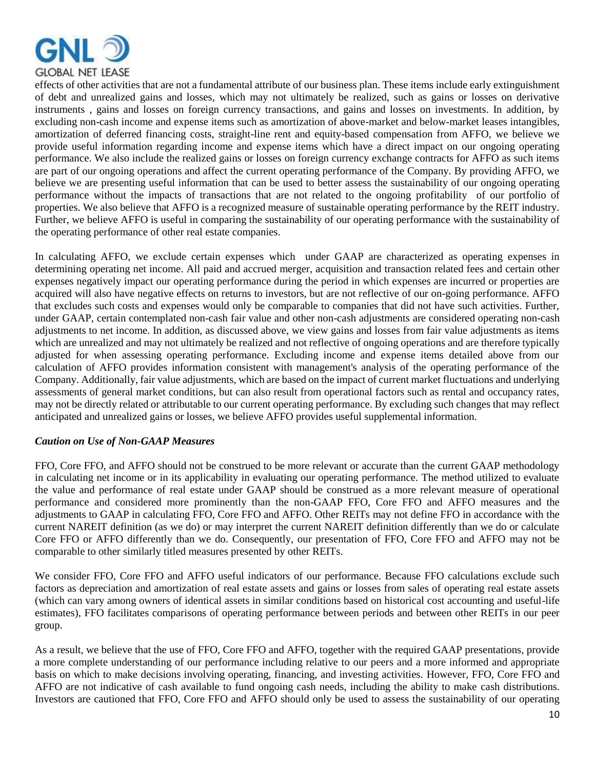

effects of other activities that are not a fundamental attribute of our business plan. These items include early extinguishment of debt and unrealized gains and losses, which may not ultimately be realized, such as gains or losses on derivative instruments , gains and losses on foreign currency transactions, and gains and losses on investments. In addition, by excluding non-cash income and expense items such as amortization of above-market and below-market leases intangibles, amortization of deferred financing costs, straight-line rent and equity-based compensation from AFFO, we believe we provide useful information regarding income and expense items which have a direct impact on our ongoing operating performance. We also include the realized gains or losses on foreign currency exchange contracts for AFFO as such items are part of our ongoing operations and affect the current operating performance of the Company. By providing AFFO, we believe we are presenting useful information that can be used to better assess the sustainability of our ongoing operating performance without the impacts of transactions that are not related to the ongoing profitability of our portfolio of properties. We also believe that AFFO is a recognized measure of sustainable operating performance by the REIT industry. Further, we believe AFFO is useful in comparing the sustainability of our operating performance with the sustainability of the operating performance of other real estate companies.

In calculating AFFO, we exclude certain expenses which under GAAP are characterized as operating expenses in determining operating net income. All paid and accrued merger, acquisition and transaction related fees and certain other expenses negatively impact our operating performance during the period in which expenses are incurred or properties are acquired will also have negative effects on returns to investors, but are not reflective of our on-going performance. AFFO that excludes such costs and expenses would only be comparable to companies that did not have such activities. Further, under GAAP, certain contemplated non-cash fair value and other non-cash adjustments are considered operating non-cash adjustments to net income. In addition, as discussed above, we view gains and losses from fair value adjustments as items which are unrealized and may not ultimately be realized and not reflective of ongoing operations and are therefore typically adjusted for when assessing operating performance. Excluding income and expense items detailed above from our calculation of AFFO provides information consistent with management's analysis of the operating performance of the Company. Additionally, fair value adjustments, which are based on the impact of current market fluctuations and underlying assessments of general market conditions, but can also result from operational factors such as rental and occupancy rates, may not be directly related or attributable to our current operating performance. By excluding such changes that may reflect anticipated and unrealized gains or losses, we believe AFFO provides useful supplemental information.

## *Caution on Use of Non-GAAP Measures*

FFO, Core FFO, and AFFO should not be construed to be more relevant or accurate than the current GAAP methodology in calculating net income or in its applicability in evaluating our operating performance. The method utilized to evaluate the value and performance of real estate under GAAP should be construed as a more relevant measure of operational performance and considered more prominently than the non-GAAP FFO, Core FFO and AFFO measures and the adjustments to GAAP in calculating FFO, Core FFO and AFFO. Other REITs may not define FFO in accordance with the current NAREIT definition (as we do) or may interpret the current NAREIT definition differently than we do or calculate Core FFO or AFFO differently than we do. Consequently, our presentation of FFO, Core FFO and AFFO may not be comparable to other similarly titled measures presented by other REITs.

We consider FFO, Core FFO and AFFO useful indicators of our performance. Because FFO calculations exclude such factors as depreciation and amortization of real estate assets and gains or losses from sales of operating real estate assets (which can vary among owners of identical assets in similar conditions based on historical cost accounting and useful-life estimates), FFO facilitates comparisons of operating performance between periods and between other REITs in our peer group.

As a result, we believe that the use of FFO, Core FFO and AFFO, together with the required GAAP presentations, provide a more complete understanding of our performance including relative to our peers and a more informed and appropriate basis on which to make decisions involving operating, financing, and investing activities. However, FFO, Core FFO and AFFO are not indicative of cash available to fund ongoing cash needs, including the ability to make cash distributions. Investors are cautioned that FFO, Core FFO and AFFO should only be used to assess the sustainability of our operating